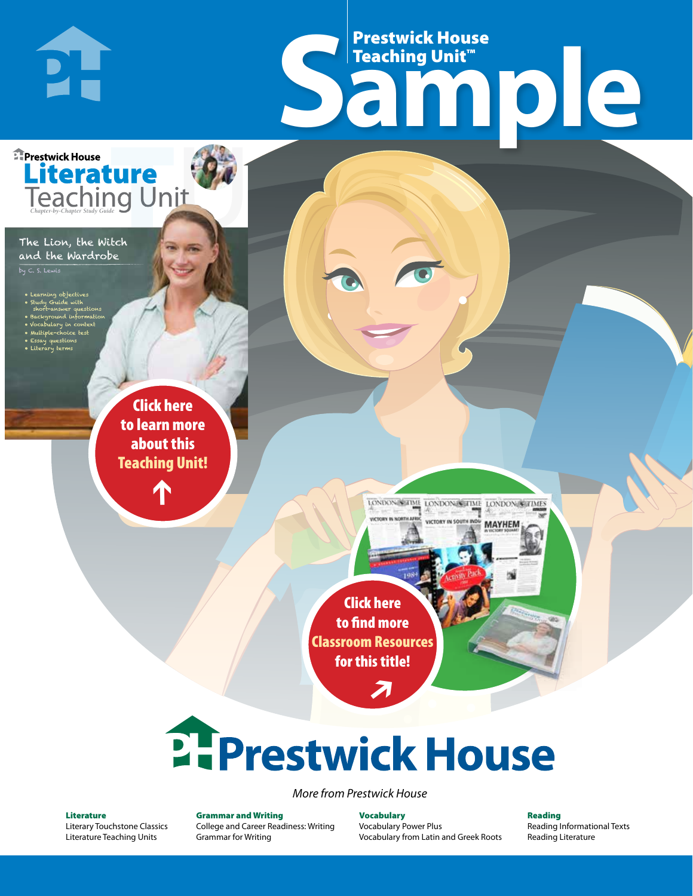# Frestwick House<br>
Sample Prestwick House Teaching Unit™

LONDON-SCITME LONDON/SCITME LONDON/SCITMES

**MAYHEM** 

**Prestwick House** Literature<br>Teaching Unit

#### The Lion, the Witch and the Wardrobe

**PH** 

by C. S. Lewis

- Learning objectives
- Study Guide with short-answer questions
- Background information • Vocabulary in context
- Multiple-choice test

CHARLES DICKENS

- Essay questions
- **A Tale of Two Cities** • Literary terms

r e o r d e r n o . x x x x x x Click here to learn more about this [Teaching Unit!](https://www.prestwickhouse.com/pdf/id-301982/Lion_the_Witch_and_the_Wardrobe_The_-_Downloadable_Teaching_Unit)

 $\mathbf{T}$ 

1

Click here to find more [Classroom Resources](http://teaching-english.prestwickhouse.com/search#w=the%20lion%20the%20witch%20and%20the%20wardrobe)  for this title!

 $\overline{\boldsymbol{\lambda}}$ 

# 2. Prestwick House

#### *More from Prestwick House*

#### Literature

[Literary Touchstone Classics](https://www.prestwickhouse.com/literary-touchstone-classics) [Literature Teaching Units](https://www.prestwickhouse.com/teaching-units)

Grammar and Writing [College and Career Readiness: Writing](https://www.prestwickhouse.com/college-and-career-readiness-writing) [Grammar for Writing](https://www.prestwickhouse.com/book/id-302639/Grammar_for_Writing_-_30_Books_and_Teachers_Edition)

Vocabulary [Vocabulary Power Plus](https://www.prestwickhouse.com/vocabulary-power-plus-for-college-and-career-readiness) [Vocabulary from Latin and Greek Roots](https://www.prestwickhouse.com/vocabulary-from-latin-and-greek-roots) Reading

[Reading Informational Texts](https://www.prestwickhouse.com/reading-informational-texts) [Reading Literature](https://www.prestwickhouse.com/reading-literature)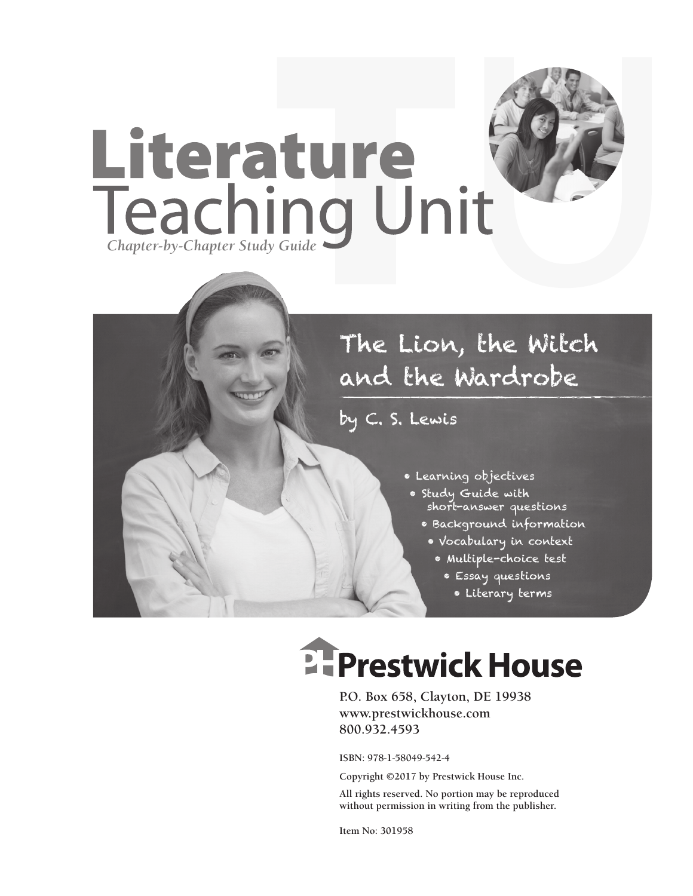

## The Lion, the Witch and the Wardrobe

by C. S. Lewis

- Learning objectives
- Study Guide with short-answer questions
	- Background information
		- Vocabulary in context
			- Multiple-choice test
				- Essay questions
					- Literary terms

# **E-Prestwick House**

**P.O. Box 658, Clayton, DE 19938 www.prestwickhouse.com 800.932.4593**

**ISBN: 978-1-58049-542-4**

**Copyright ©2017 by Prestwick House Inc.**

**All rights reserved. No portion may be reproduced without permission in writing from the publisher.** 

**Item No: 301958**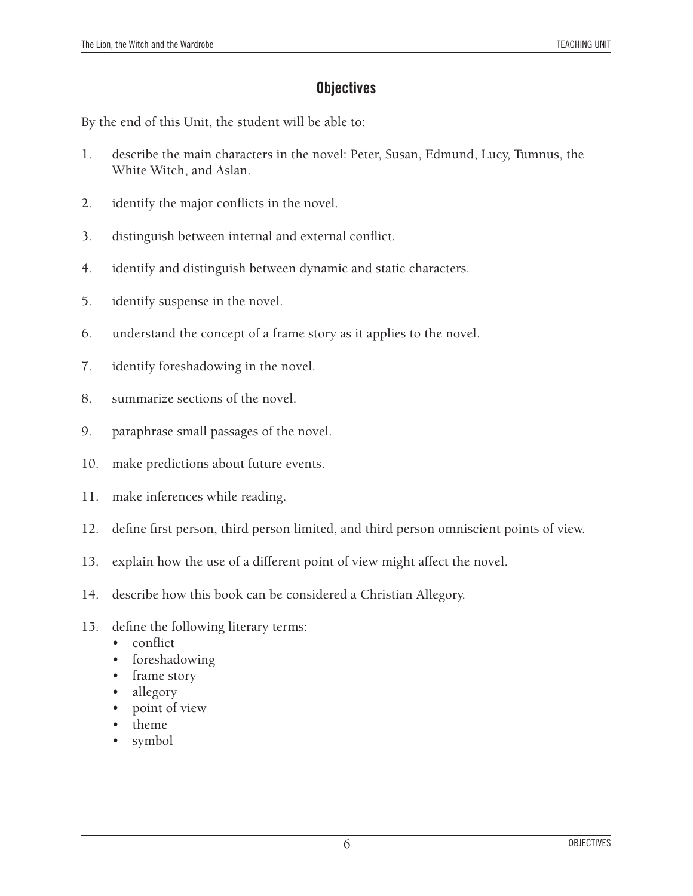#### **Objectives**

By the end of this Unit, the student will be able to:

- 1. describe the main characters in the novel: Peter, Susan, Edmund, Lucy, Tumnus, the White Witch, and Aslan.
- 2. identify the major conflicts in the novel.
- 3. distinguish between internal and external conflict.
- 4. identify and distinguish between dynamic and static characters.
- 5. identify suspense in the novel.
- 6. understand the concept of a frame story as it applies to the novel.
- 7. identify foreshadowing in the novel.
- 8. summarize sections of the novel.
- 9. paraphrase small passages of the novel.
- 10. make predictions about future events.
- 11. make inferences while reading.
- 12. define first person, third person limited, and third person omniscient points of view.
- 13. explain how the use of a different point of view might affect the novel.
- 14. describe how this book can be considered a Christian Allegory.
- 15. define the following literary terms:
	- conflict
	- foreshadowing
	- frame story
	- allegory
	- point of view
	- theme
	- symbol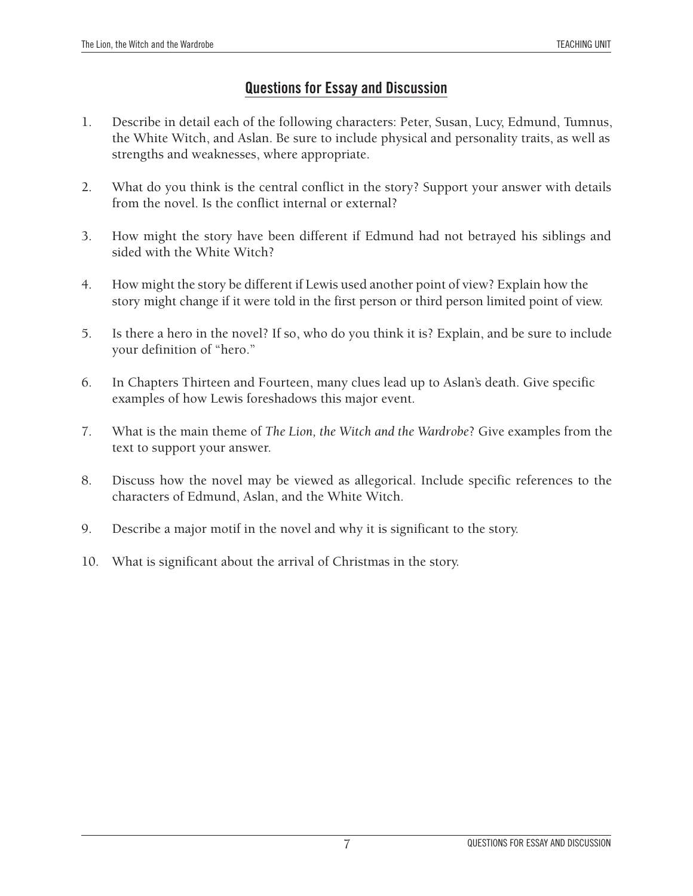#### **Questions for Essay and Discussion**

- 1. Describe in detail each of the following characters: Peter, Susan, Lucy, Edmund, Tumnus, the White Witch, and Aslan. Be sure to include physical and personality traits, as well as strengths and weaknesses, where appropriate.
- 2. What do you think is the central conflict in the story? Support your answer with details from the novel. Is the conflict internal or external?
- 3. How might the story have been different if Edmund had not betrayed his siblings and sided with the White Witch?
- 4. How might the story be different if Lewis used another point of view? Explain how the story might change if it were told in the first person or third person limited point of view.
- 5. Is there a hero in the novel? If so, who do you think it is? Explain, and be sure to include your definition of "hero."
- 6. In Chapters Thirteen and Fourteen, many clues lead up to Aslan's death. Give specific examples of how Lewis foreshadows this major event.
- 7. What is the main theme of *The Lion, the Witch and the Wardrobe*? Give examples from the text to support your answer.
- 8. Discuss how the novel may be viewed as allegorical. Include specific references to the characters of Edmund, Aslan, and the White Witch.
- 9. Describe a major motif in the novel and why it is significant to the story.
- 10. What is significant about the arrival of Christmas in the story.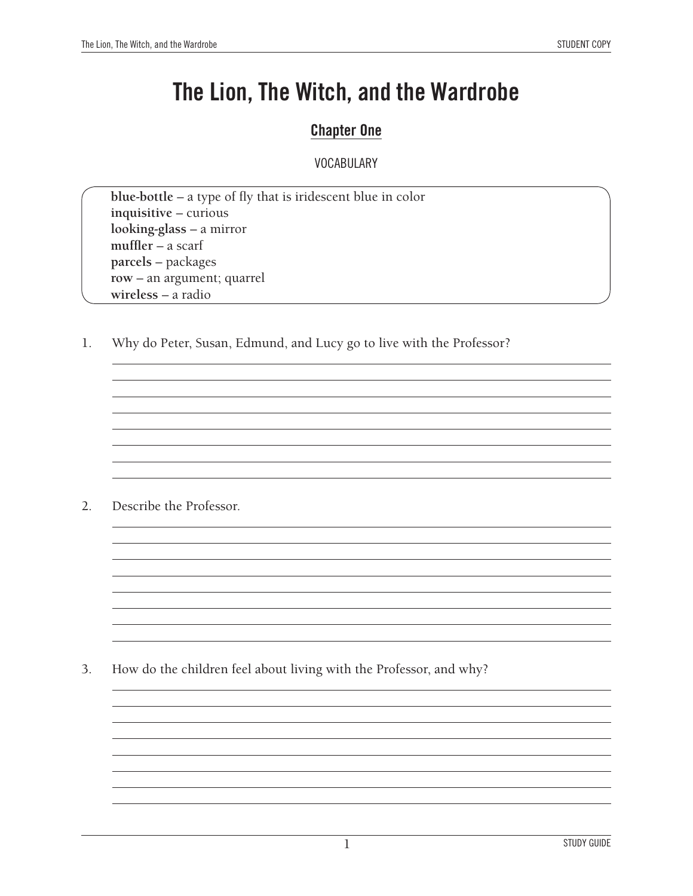### **The Lion, The Witch, and the Wardrobe**

#### **Chapter One**

#### **VOCABULARY**

**blue-bottle** – a type of fly that is iridescent blue in color **inquisitive** – curious **looking-glass** – a mirror **muffler** – a scarf **parcels** – packages **row** – an argument; quarrel **wireless** – a radio

1. Why do Peter, Susan, Edmund, and Lucy go to live with the Professor?

2. Describe the Professor.

3. How do the children feel about living with the Professor, and why?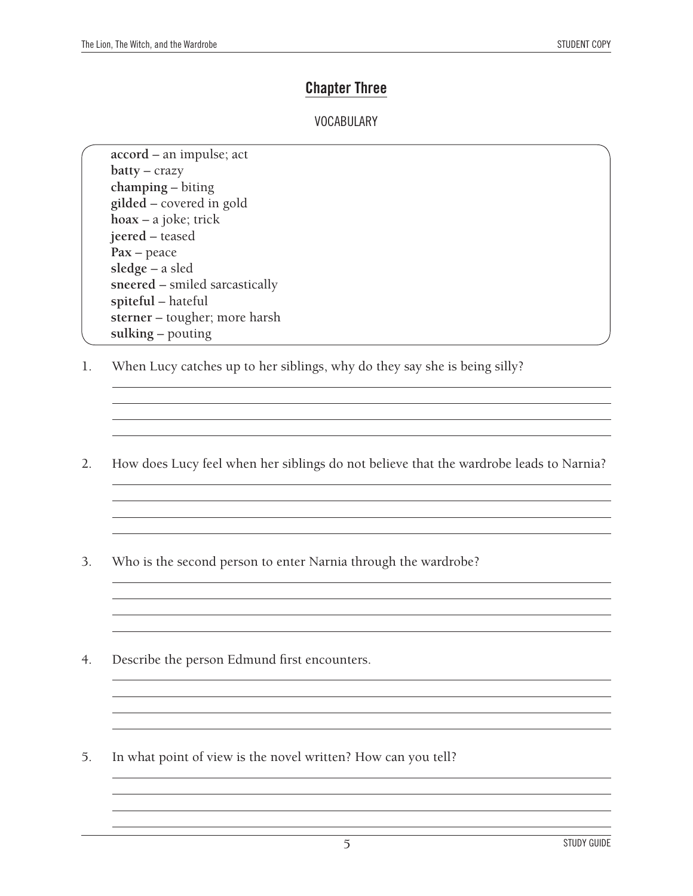#### **Chapter Three**

#### **VOCABULARY**

**accord** – an impulse; act **batty** – crazy **champing** – biting **gilded** – covered in gold **hoax** – a joke; trick **jeered** – teased **Pax** – peace **sledge** – a sled **sneered** – smiled sarcastically **spiteful** – hateful **sterner** – tougher; more harsh **sulking** – pouting

- 1. When Lucy catches up to her siblings, why do they say she is being silly?
- 2. How does Lucy feel when her siblings do not believe that the wardrobe leads to Narnia?

<u> 1989 - Johann Stoff, deutscher Stoffen und der Stoffen und der Stoffen und der Stoffen und der Stoffen und der</u>

<u> 1989 - Johann Barn, amerikansk politiker (d. 1989)</u>

<u> 1989 - Johann Stoff, amerikansk politiker (d. 1989)</u>

<u> 1989 - Johann Stoff, deutscher Stoff, der Stoff, der Stoff, der Stoff, der Stoff, der Stoff, der Stoff, der S</u>

and the control of the control of the control of the control of the control of the control of the control of the

<u> 1989 - Johann Stoff, amerikansk politiker (d. 1989)</u>

- 3. Who is the second person to enter Narnia through the wardrobe?
- 4. Describe the person Edmund first encounters.
- 5. In what point of view is the novel written? How can you tell?